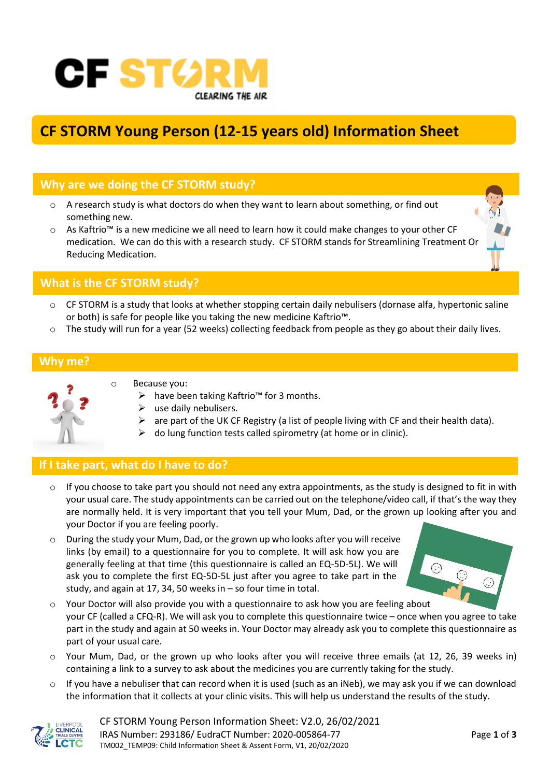

## **CF STORM Young Person (12-15 years old) Information Sheet**

## **Why are we doing the CF STORM study?**

- $\circ$  A research study is what doctors do when they want to learn about something, or find out something new.
- o As Kaftrio™ is a new medicine we all need to learn how it could make changes to your other CF medication. We can do this with a research study. CF STORM stands for Streamlining Treatment Or Reducing Medication.

## **What is the CF STORM study?**

- $\circ$  CF STORM is a study that looks at whether stopping certain daily nebulisers (dornase alfa, hypertonic saline or both) is safe for people like you taking the new medicine Kaftrio™.
- o The study will run for a year (52 weeks) collecting feedback from people as they go about their daily lives.

#### **Why me?**



- o Because you:
	- have been taking Kaftrio<sup>™</sup> for 3 months.
	- $\triangleright$  use daily nebulisers.
	- $\triangleright$  are part of the UK CF Registry (a list of people living with CF and their health data).
	- $\triangleright$  do lung function tests called spirometry (at home or in clinic).

## **If I take part, what do I have to do?**

- $\circ$  If you choose to take part you should not need any extra appointments, as the study is designed to fit in with your usual care. The study appointments can be carried out on the telephone/video call, if that's the way they are normally held. It is very important that you tell your Mum, Dad, or the grown up looking after you and your Doctor if you are feeling poorly.
- o During the study your Mum, Dad, or the grown up who looks after you will receive links (by email) to a questionnaire for you to complete. It will ask how you are generally feeling at that time (this questionnaire is called an EQ-5D-5L). We will ask you to complete the first EQ-5D-5L just after you agree to take part in the study, and again at 17, 34, 50 weeks in – so four time in total.



- o Your Doctor will also provide you with a questionnaire to ask how you are feeling about your CF (called a CFQ-R). We will ask you to complete this questionnaire twice – once when you agree to take part in the study and again at 50 weeks in. Your Doctor may already ask you to complete this questionnaire as part of your usual care.
- o Your Mum, Dad, or the grown up who looks after you will receive three emails (at 12, 26, 39 weeks in) containing a link to a survey to ask about the medicines you are currently taking for the study.
- $\circ$  If you have a nebuliser that can record when it is used (such as an iNeb), we may ask you if we can download the information that it collects at your clinic visits. This will help us understand the results of the study.



CF STORM Young Person Information Sheet: V2.0, 26/02/2021 IRAS Number: 293186/ EudraCT Number: 2020-005864-77 Page **1** of **3** TM002\_TEMP09: Child Information Sheet & Assent Form, V1, 20/02/2020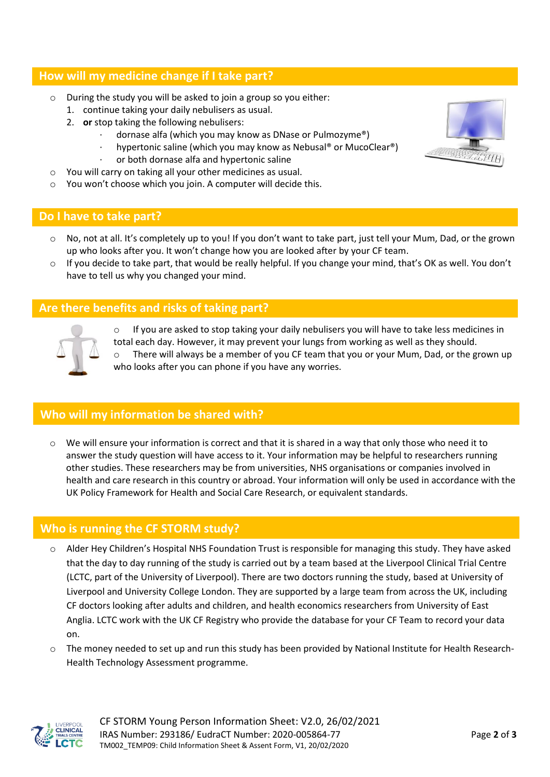## **How will my medicine change if I take part?**

- o During the study you will be asked to join a group so you either:
	- 1. continue taking your daily nebulisers as usual.
	- 2. **or** stop taking the following nebulisers:
		- · dornase alfa (which you may know as DNase or Pulmozyme®)
		- hypertonic saline (which you may know as Nebusal® or MucoClear®)
		- · or both dornase alfa and hypertonic saline
- o You will carry on taking all your other medicines as usual.
- o You won't choose which you join. A computer will decide this.

#### **Do I have to take part?**

- $\circ$  No, not at all. It's completely up to you! If you don't want to take part, just tell your Mum, Dad, or the grown up who looks after you. It won't change how you are looked after by your CF team.
- $\circ$  If you decide to take part, that would be really helpful. If you change your mind, that's OK as well. You don't have to tell us why you changed your mind.

## **Are there benefits and risks of taking part?**



 $\circ$  If you are asked to stop taking your daily nebulisers you will have to take less medicines in total each day. However, it may prevent your lungs from working as well as they should.  $\circ$  There will always be a member of you CF team that you or your Mum, Dad, or the grown up who looks after you can phone if you have any worries.

## **Who will my information be shared with?**

 $\circ$  We will ensure your information is correct and that it is shared in a way that only those who need it to answer the study question will have access to it. Your information may be helpful to researchers running other studies. These researchers may be from universities, NHS organisations or companies involved in health and care research in this country or abroad. Your information will only be used in accordance with the UK Policy Framework for Health and Social Care Research, or equivalent standards.

## **Who is running the CF STORM study?**

- o Alder Hey Children's Hospital NHS Foundation Trust is responsible for managing this study. They have asked that the day to day running of the study is carried out by a team based at the Liverpool Clinical Trial Centre (LCTC, part of the University of Liverpool). There are two doctors running the study, based at University of Liverpool and University College London. They are supported by a large team from across the UK, including CF doctors looking after adults and children, and health economics researchers from University of East Anglia. LCTC work with the UK CF Registry who provide the database for your CF Team to record your data on.
- o The money needed to set up and run this study has been provided by National Institute for Health Research-Health Technology Assessment programme.



CF STORM Young Person Information Sheet: V2.0, 26/02/2021 IRAS Number: 293186/ EudraCT Number: 2020-005864-77 Page **2** of **3** TM002\_TEMP09: Child Information Sheet & Assent Form, V1, 20/02/2020